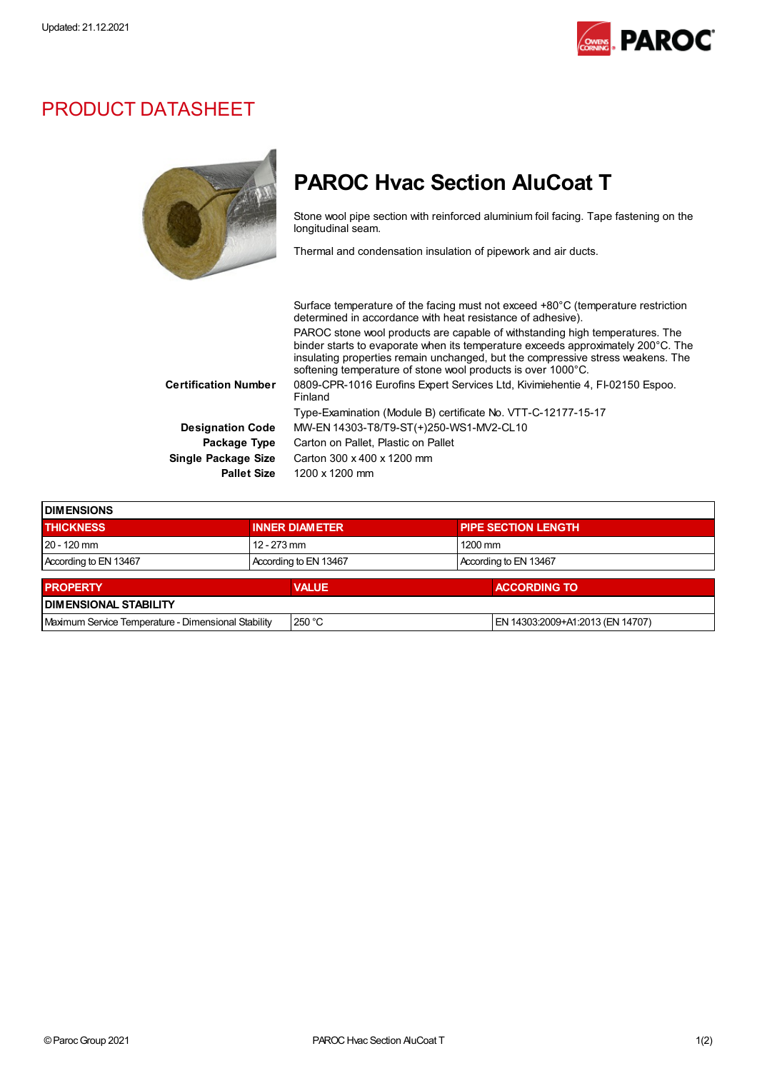

## PRODUCT DATASHEET



## PAROC Hvac Section AluCoat T

Stone wool pipe section with reinforced aluminium foil facing. Tape fastening on the longitudinal seam.

Thermal and condensation insulation of pipework and air ducts.

| Surface temperature of the facing must not exceed +80°C (temperature restriction                                                                                                                                                                    |
|-----------------------------------------------------------------------------------------------------------------------------------------------------------------------------------------------------------------------------------------------------|
| PAROC stone wool products are capable of withstanding high temperatures. The<br>binder starts to evaporate when its temperature exceeds approximately 200°C. The<br>insulating properties remain unchanged, but the compressive stress weakens. The |
| 0809-CPR-1016 Eurofins Expert Services Ltd, Kivimiehentie 4, FI-02150 Espoo.                                                                                                                                                                        |
|                                                                                                                                                                                                                                                     |
|                                                                                                                                                                                                                                                     |
|                                                                                                                                                                                                                                                     |
|                                                                                                                                                                                                                                                     |
|                                                                                                                                                                                                                                                     |
|                                                                                                                                                                                                                                                     |

| <b>IDIMENSIONS</b>                                  |                       |              |  |                                  |  |  |
|-----------------------------------------------------|-----------------------|--------------|--|----------------------------------|--|--|
| <b>THICKNESS</b>                                    | <b>INNER DIAMETER</b> |              |  | <b>PIPE SECTION LENGTH</b>       |  |  |
| $20 - 120$ mm                                       | 12 - 273 mm           |              |  | $1200$ mm                        |  |  |
| According to EN 13467                               | According to EN 13467 |              |  | According to EN 13467            |  |  |
| <b>PROPERTY</b>                                     |                       | <b>VALUE</b> |  | <b>ACCORDING TO</b>              |  |  |
| <b>DIMENSIONAL STABILITY</b>                        |                       |              |  |                                  |  |  |
| Maximum Service Temperature - Dimensional Stability |                       | 250 °C       |  | EN 14303:2009+A1:2013 (EN 14707) |  |  |